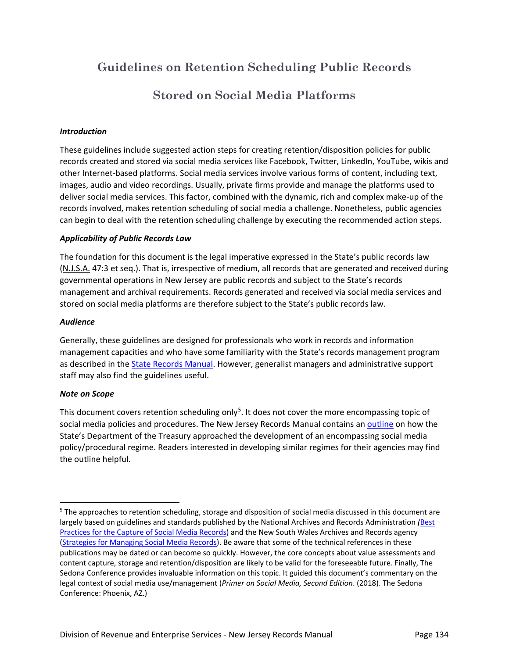# **Guidelines on Retention Scheduling Public Records**

# **Stored on Social Media Platforms**

# *Introduction*

These guidelines include suggested action steps for creating retention/disposition policies for public records created and stored via social media services like Facebook, Twitter, LinkedIn, YouTube, wikis and other Internet-based platforms. Social media services involve various forms of content, including text, images, audio and video recordings. Usually, private firms provide and manage the platforms used to deliver social media services. This factor, combined with the dynamic, rich and complex make-up of the records involved, makes retention scheduling of social media a challenge. Nonetheless, public agencies can begin to deal with the retention scheduling challenge by executing the recommended action steps.

## *Applicability of Public Records Law*

The foundation for this document is the legal imperative expressed in the State's public records law (N.J.S.A. 47:3 et seq.). That is, irrespective of medium, all records that are generated and received during governmental operations in New Jersey are public records and subject to the State's records management and archival requirements. Records generated and received via social media services and stored on social media platforms are therefore subject to the State's public records law.

## *Audience*

Generally, these guidelines are designed for professionals who work in records and information management capacities and who have some familiarity with the State's records management program as described in the State Records Manual. However, generalist managers and administrative support staff may also find the guidelines useful.

#### *Note on Scope*

This document covers retention scheduling only<sup>5</sup>. It does not cover the more encompassing topic of social media policies and procedures. The New Jersey Records Manual contains an outline on how the State's Department of the Treasury approached the development of an encompassing social media policy/procedural regime. Readers interested in developing similar regimes for their agencies may find the outline helpful.

<sup>&</sup>lt;sup>5</sup> The approaches to retention scheduling, storage and disposition of social media discussed in this document are largely based on guidelines and standards published by the National Archives and Records Administration *(*Best Practices for the Capture of Social Media Records) and the New South Wales Archives and Records agency (Strategies for Managing Social Media Records). Be aware that some of the technical references in these publications may be dated or can become so quickly. However, the core concepts about value assessments and content capture, storage and retention/disposition are likely to be valid for the foreseeable future. Finally, The Sedona Conference provides invaluable information on this topic. It guided this document's commentary on the legal context of social media use/management (*Primer on Social Media, Second Edition*. (2018). The Sedona Conference: Phoenix, AZ.)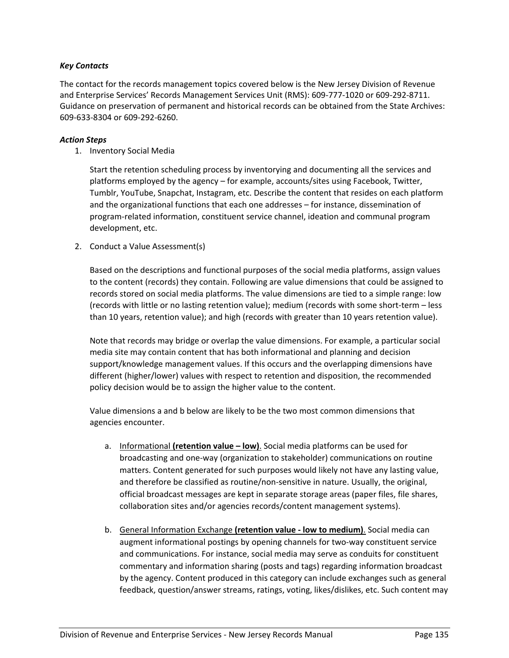### *Key Contacts*

The contact for the records management topics covered below is the New Jersey Division of Revenue and Enterprise Services' Records Management Services Unit (RMS): 609-777-1020 or 609-292-8711. Guidance on preservation of permanent and historical records can be obtained from the State Archives: 609-633-8304 or 609-292-6260.

#### *Action Steps*

1. Inventory Social Media

Start the retention scheduling process by inventorying and documenting all the services and platforms employed by the agency – for example, accounts/sites using Facebook, Twitter, Tumblr, YouTube, Snapchat, Instagram, etc. Describe the content that resides on each platform and the organizational functions that each one addresses – for instance, dissemination of program-related information, constituent service channel, ideation and communal program development, etc.

#### 2. Conduct a Value Assessment(s)

Based on the descriptions and functional purposes of the social media platforms, assign values to the content (records) they contain. Following are value dimensions that could be assigned to records stored on social media platforms. The value dimensions are tied to a simple range: low (records with little or no lasting retention value); medium (records with some short-term – less than 10 years, retention value); and high (records with greater than 10 years retention value).

Note that records may bridge or overlap the value dimensions. For example, a particular social media site may contain content that has both informational and planning and decision support/knowledge management values. If this occurs and the overlapping dimensions have different (higher/lower) values with respect to retention and disposition, the recommended policy decision would be to assign the higher value to the content.

Value dimensions a and b below are likely to be the two most common dimensions that agencies encounter.

- a. Informational **(retention value – low)**. Social media platforms can be used for broadcasting and one-way (organization to stakeholder) communications on routine matters. Content generated for such purposes would likely not have any lasting value, and therefore be classified as routine/non-sensitive in nature. Usually, the original, official broadcast messages are kept in separate storage areas (paper files, file shares, collaboration sites and/or agencies records/content management systems).
- b. General Information Exchange **(retention value - low to medium)**. Social media can augment informational postings by opening channels for two-way constituent service and communications. For instance, social media may serve as conduits for constituent commentary and information sharing (posts and tags) regarding information broadcast by the agency. Content produced in this category can include exchanges such as general feedback, question/answer streams, ratings, voting, likes/dislikes, etc. Such content may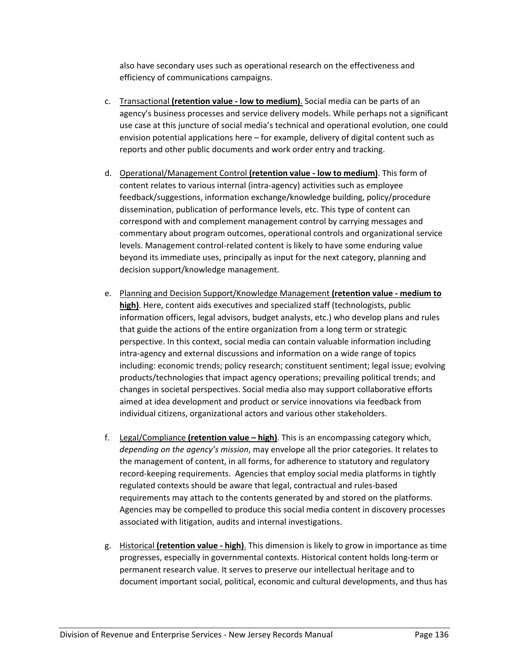also have secondary uses such as operational research on the effectiveness and efficiency of communications campaigns.

- c. Transactional **(retention value - low to medium)**. Social media can be parts of an agency's business processes and service delivery models. While perhaps not a significant use case at this juncture of social media's technical and operational evolution, one could envision potential applications here – for example, delivery of digital content such as reports and other public documents and work order entry and tracking.
- d. Operational/Management Control **(retention value - low to medium)**. This form of content relates to various internal (intra-agency) activities such as employee feedback/suggestions, information exchange/knowledge building, policy/procedure dissemination, publication of performance levels, etc. This type of content can correspond with and complement management control by carrying messages and commentary about program outcomes, operational controls and organizational service levels. Management control-related content is likely to have some enduring value beyond its immediate uses, principally as input for the next category, planning and decision support/knowledge management.
- e. Planning and Decision Support/Knowledge Management **(retention value - medium to high)**. Here, content aids executives and specialized staff (technologists, public information officers, legal advisors, budget analysts, etc.) who develop plans and rules that guide the actions of the entire organization from a long term or strategic perspective. In this context, social media can contain valuable information including intra-agency and external discussions and information on a wide range of topics including: economic trends; policy research; constituent sentiment; legal issue; evolving products/technologies that impact agency operations; prevailing political trends; and changes in societal perspectives. Social media also may support collaborative efforts aimed at idea development and product or service innovations via feedback from individual citizens, organizational actors and various other stakeholders.
- f. Legal/Compliance **(retention value – high)**. This is an encompassing category which, *depending on the agency's mission*, may envelope all the prior categories. It relates to the management of content, in all forms, for adherence to statutory and regulatory record-keeping requirements. Agencies that employ social media platforms in tightly regulated contexts should be aware that legal, contractual and rules-based requirements may attach to the contents generated by and stored on the platforms. Agencies may be compelled to produce this social media content in discovery processes associated with litigation, audits and internal investigations.
- g. Historical **(retention value - high)**. This dimension is likely to grow in importance as time progresses, especially in governmental contexts. Historical content holds long-term or permanent research value. It serves to preserve our intellectual heritage and to document important social, political, economic and cultural developments, and thus has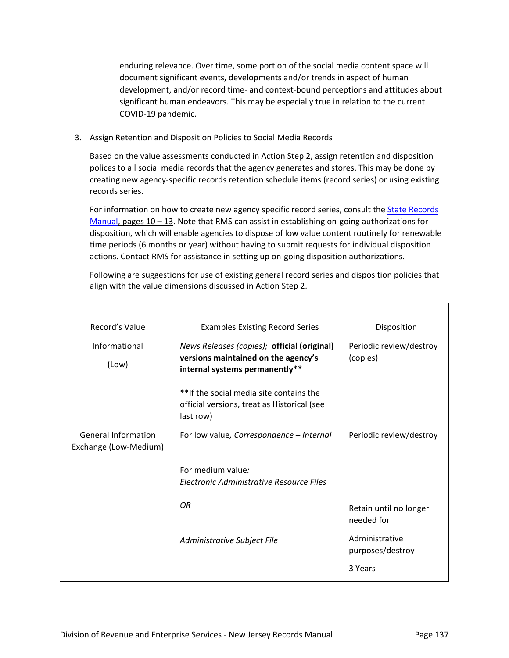enduring relevance. Over time, some portion of the social media content space will document significant events, developments and/or trends in aspect of human development, and/or record time- and context-bound perceptions and attitudes about significant human endeavors. This may be especially true in relation to the current COVID-19 pandemic.

3. Assign Retention and Disposition Policies to Social Media Records

Based on the value assessments conducted in Action Step 2, assign retention and disposition polices to all social media records that the agency generates and stores. This may be done by creating new agency-specific records retention schedule items (record series) or using existing records series.

For information on how to create new agency specific record series, consult the State Records Manual, pages  $10 - 13$ . Note that RMS can assist in establishing on-going authorizations for disposition, which will enable agencies to dispose of low value content routinely for renewable time periods (6 months or year) without having to submit requests for individual disposition actions. Contact RMS for assistance in setting up on-going disposition authorizations.

Following are suggestions for use of existing general record series and disposition policies that align with the value dimensions discussed in Action Step 2.

| Record's Value                                      | <b>Examples Existing Record Series</b>                                                                               | Disposition                          |
|-----------------------------------------------------|----------------------------------------------------------------------------------------------------------------------|--------------------------------------|
| Informational<br>(Low)                              | News Releases (copies); official (original)<br>versions maintained on the agency's<br>internal systems permanently** | Periodic review/destroy<br>(copies)  |
|                                                     | ** If the social media site contains the<br>official versions, treat as Historical (see<br>last row)                 |                                      |
| <b>General Information</b><br>Exchange (Low-Medium) | For low value, Correspondence - Internal                                                                             | Periodic review/destroy              |
|                                                     | For medium value:<br>Electronic Administrative Resource Files                                                        |                                      |
|                                                     | OR.                                                                                                                  | Retain until no longer<br>needed for |
|                                                     | Administrative Subject File                                                                                          | Administrative<br>purposes/destroy   |
|                                                     |                                                                                                                      | 3 Years                              |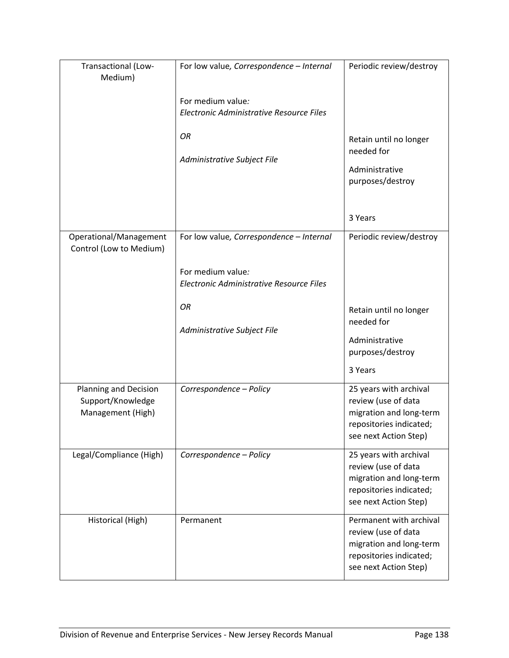| Transactional (Low-<br>Medium)                                         | For low value, Correspondence - Internal                      | Periodic review/destroy                                                                                                       |
|------------------------------------------------------------------------|---------------------------------------------------------------|-------------------------------------------------------------------------------------------------------------------------------|
|                                                                        | For medium value:<br>Electronic Administrative Resource Files |                                                                                                                               |
|                                                                        | OR<br>Administrative Subject File                             | Retain until no longer<br>needed for<br>Administrative<br>purposes/destroy                                                    |
|                                                                        |                                                               | 3 Years                                                                                                                       |
| Operational/Management<br>Control (Low to Medium)                      | For low value, Correspondence - Internal                      | Periodic review/destroy                                                                                                       |
|                                                                        | For medium value:<br>Electronic Administrative Resource Files |                                                                                                                               |
|                                                                        | <b>OR</b><br>Administrative Subject File                      | Retain until no longer<br>needed for<br>Administrative<br>purposes/destroy<br>3 Years                                         |
| <b>Planning and Decision</b><br>Support/Knowledge<br>Management (High) | Correspondence - Policy                                       | 25 years with archival<br>review (use of data<br>migration and long-term<br>repositories indicated;<br>see next Action Step)  |
| Legal/Compliance (High)                                                | Correspondence - Policy                                       | 25 years with archival<br>review (use of data<br>migration and long-term<br>repositories indicated;<br>see next Action Step)  |
| Historical (High)                                                      | Permanent                                                     | Permanent with archival<br>review (use of data<br>migration and long-term<br>repositories indicated;<br>see next Action Step) |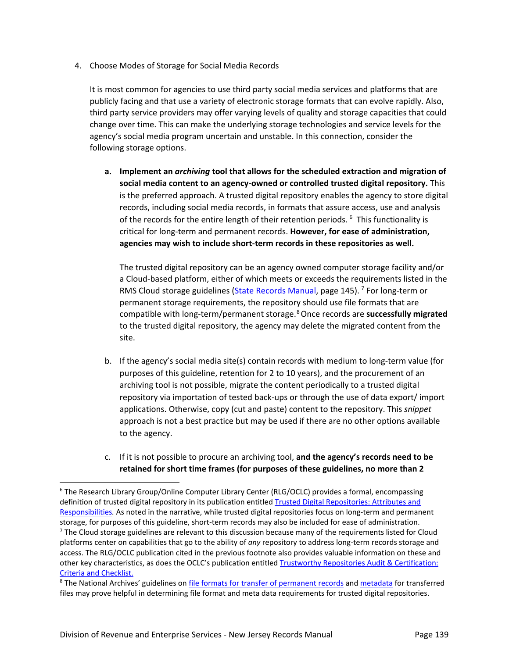4. Choose Modes of Storage for Social Media Records

It is most common for agencies to use third party social media services and platforms that are publicly facing and that use a variety of electronic storage formats that can evolve rapidly. Also, third party service providers may offer varying levels of quality and storage capacities that could change over time. This can make the underlying storage technologies and service levels for the agency's social media program uncertain and unstable. In this connection, consider the following storage options.

**a. Implement an** *archiving* **tool that allows for the scheduled extraction and migration of social media content to an agency-owned or controlled trusted digital repository.** This is the preferred approach. A trusted digital repository enables the agency to store digital records, including social media records, in formats that assure access, use and analysis of the records for the entire length of their retention periods.<sup>6</sup> This functionality is critical for long-term and permanent records. **However, for ease of administration, agencies may wish to include short-term records in these repositories as well.** 

The trusted digital repository can be an agency owned computer storage facility and/or a Cloud-based platform, either of which meets or exceeds the requirements listed in the RMS Cloud storage guidelines (State Records Manual, page 145).<sup>7</sup> For long-term or permanent storage requirements, the repository should use file formats that are compatible with long-term/permanent storage.8Once records are **successfully migrated** to the trusted digital repository, the agency may delete the migrated content from the site.

- b. If the agency's social media site(s) contain records with medium to long-term value (for purposes of this guideline, retention for 2 to 10 years), and the procurement of an archiving tool is not possible, migrate the content periodically to a trusted digital repository via importation of tested back-ups or through the use of data export/ import applications. Otherwise, copy (cut and paste) content to the repository. This *snippet* approach is not a best practice but may be used if there are no other options available to the agency.
- c. If it is not possible to procure an archiving tool, **and the agency's records need to be retained for short time frames (for purposes of these guidelines, no more than 2**

 <sup>6</sup> The Research Library Group/Online Computer Library Center (RLG/OCLC) provides a formal, encompassing definition of trusted digital repository in its publication entitled Trusted Digital Repositories: Attributes and Responsibilities*.* As noted in the narrative, while trusted digital repositories focus on long-term and permanent storage, for purposes of this guideline, short-term records may also be included for ease of administration.  $<sup>7</sup>$  The Cloud storage guidelines are relevant to this discussion because many of the requirements listed for Cloud</sup> platforms center on capabilities that go to the ability of *any* repository to address long-term records storage and access. The RLG/OCLC publication cited in the previous footnote also provides valuable information on these and other key characteristics, as does the OCLC's publication entitled Trustworthy Repositories Audit & Certification: Criteria and Checklist.

<sup>&</sup>lt;sup>8</sup> The National Archives' guidelines on *file formats for transfer of permanent records* and *metadata* for transferred files may prove helpful in determining file format and meta data requirements for trusted digital repositories.